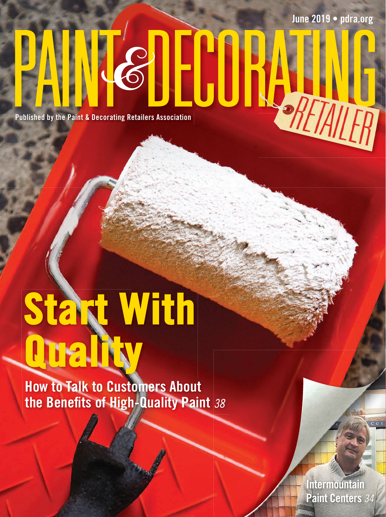**June 2019 • pdra.org**

**Published by the Paint & Decorating Retailers Association PAINT Retailers Association** 

# **Start With Quality**

**How to Talk to Customers About the Benefits of High-Quality Paint** <sup>38</sup>

> **Intermountain Paint Centers** 34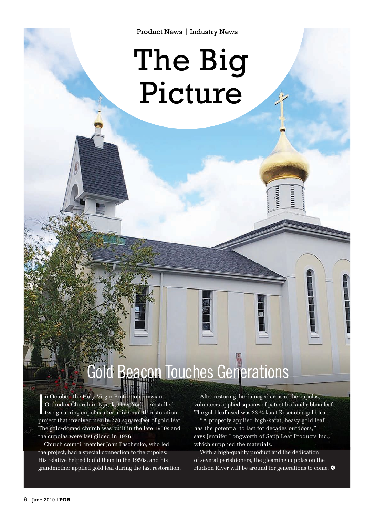Product News | Industry News

## The Big Picture

## Gold Beacon Touches Generations

I n October, the Holy Virgin Protection Russian Orthodox Church in Nyack, New York, reinstalled two gleaming cupolas after a five-month restoration project that involved nearly 270 square feet of gold leaf. The gold-domed church was built in the late 1950s and the cupolas were last gilded in 1976.

Church council member John Paschenko, who led the project, had a special connection to the cupolas: His relative helped build them in the 1950s, and his grandmother applied gold leaf during the last restoration.

After restoring the damaged areas of the cupolas, volunteers applied squares of patent leaf and ribbon leaf. The gold leaf used was 23 ¾ karat Rosenoble gold leaf.

minin

lillini<br>E

"A properly applied high-karat, heavy gold leaf has the potential to last for decades outdoors," says Jennifer Longworth of Sepp Leaf Products Inc., which supplied the materials.

With a high-quality product and the dedication of several parishioners, the gleaming cupolas on the Hudson River will be around for generations to come.  $\bullet$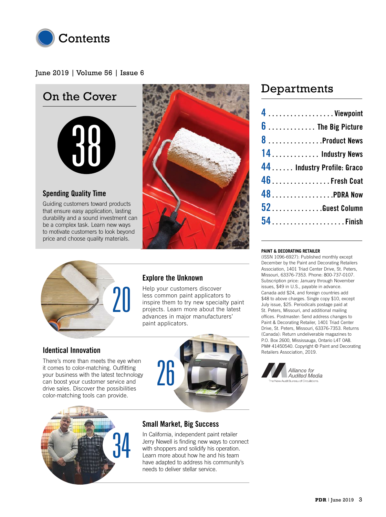

#### June 2019 | Volume 56 | Issue 6

#### On the Cover



#### **Spending Quality Time**

Guiding customers toward products that ensure easy application, lasting durability and a sound investment can be a complex task. Learn new ways to motivate customers to look beyond price and choose quality materials.



#### Departments

| 4 Viewpoint                 |  |
|-----------------------------|--|
| $6$ The Big Picture         |  |
| 8 Product News              |  |
| 14  Industry News           |  |
| 44  Industry Profile: Graco |  |
| 46  Fresh Coat              |  |
| 48 PDRA Now                 |  |
| 52. Guest Column            |  |
|                             |  |



#### **Explore the Unknown**

Help your customers discover less common paint applicators to inspire them to try new specialty paint projects. Learn more about the latest advances in major manufacturers' paint applicators.

#### **Identical Innovation**

There's more than meets the eye when it comes to color-matching. Outfitting your business with the latest technology can boost your customer service and drive sales. Discover the possibilities color-matching tools can provide.





#### **Small Market, Big Success**

In California, independent paint retailer Jerry Newell is finding new ways to connect with shoppers and solidify his operation. Learn more about how he and his team have adapted to address his community's needs to deliver stellar service.

#### **PAINT & DECORATING RETAILER**

(ISSN 1096-6927): Published monthly except December by the Paint and Decorating Retailers Association, 1401 Triad Center Drive, St. Peters, Missouri, 63376-7353. Phone: 800-737-0107. Subscription price: January through November issues, \$49 in U.S., payable in advance. Canada add \$24, and foreign countries add \$48 to above charges. Single copy \$10, except July issue, \$25. Periodicals postage paid at St. Peters, Missouri, and additional mailing offices. Postmaster: Send address changes to Paint & Decorating Retailer, 1401 Triad Center Drive, St. Peters, Missouri, 63376-7353. Returns (Canada): Return undeliverable magazines to P.O. Box 2600, Mississauga, Ontario L4T 0A8. PM# 41450540. Copyright © Paint and Decorating Retailers Association, 2019.